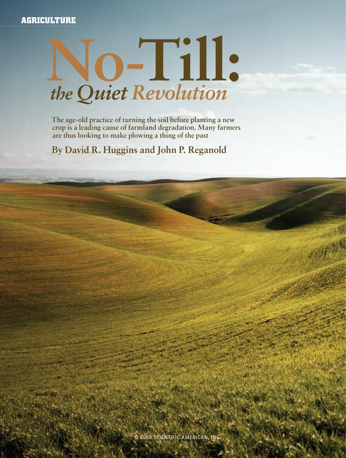

**The age-old practice of turning the soil before planting a new crop is a leading cause of farmland degradation. Many farmers are thus looking to make plowing a thing of the past**

**By David R. Huggins and John P. Reganold**

**ROCKET AMERICAN, INC. 2008** SCIENTIFIC AMERICAN, INC. 2008 © 2008 SCIENTIFIC AMERICAN, INC.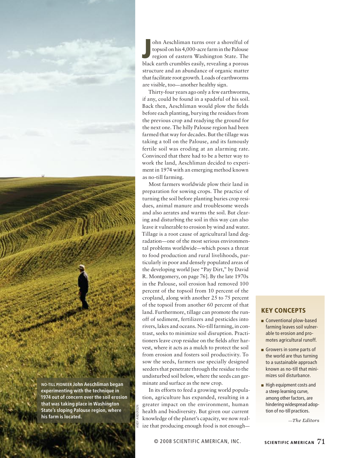

**NO-TILL PIONEER John Aeschliman began experimenting with the technique in 1974 out of concern over the soil erosion that was taking place in Washington State's sloping Palouse region, where his farm is located.**

ANDY ANDERSON

ohn Aeschliman turns over a shovelful of<br>topsoil on his 4,000-acre farm in the Palouse<br>region of eastern Washington State. The<br>black earth crumbles easily, revealing a porous ohn Aeschliman turns over a shovelful of topsoil on his 4,000-acre farm in the Palouse region of eastern Washington State. The structure and an abundance of organic matter that facilitate root growth. Loads of earthworms are visible, too—another healthy sign.

Thirty-four years ago only a few earthworms, if any, could be found in a spadeful of his soil. Back then, Aeschliman would plow the fields before each planting, burying the residues from the previous crop and readying the ground for the next one. The hilly Palouse region had been farmed that way for decades. But the tillage was taking a toll on the Palouse, and its famously fertile soil was eroding at an alarming rate. Convinced that there had to be a better way to work the land, Aeschliman decided to experiment in 1974 with an emerging method known as no-till farming.

Most farmers worldwide plow their land in preparation for sowing crops. The practice of turning the soil before planting buries crop residues, animal manure and troublesome weeds and also aerates and warms the soil. But clearing and disturbing the soil in this way can also leave it vulnerable to erosion by wind and water. Tillage is a root cause of agricultural land degradation—one of the most serious environmental problems worldwide—which poses a threat to food production and rural livelihoods, particularly in poor and densely populated areas of the developing world [see "Pay Dirt," by David R. Montgomery, on page 76]. By the late 1970s in the Palouse, soil erosion had removed 100 percent of the topsoil from 10 percent of the cropland, along with another 25 to 75 percent of the topsoil from another 60 percent of that land. Furthermore, tillage can promote the runoff of sediment, fertilizers and pesticides into rivers, lakes and oceans. No-till farming, in contrast, seeks to minimize soil disruption. Practitioners leave crop residue on the fields after harvest, where it acts as a mulch to protect the soil from erosion and fosters soil productivity. To sow the seeds, farmers use specially designed seeders that penetrate through the residue to the undisturbed soil below, where the seeds can germinate and surface as the new crop.

In its efforts to feed a growing world population, agriculture has expanded, resulting in a greater impact on the environment, human health and biodiversity. But given our current knowledge of the planet's capacity, we now realize that producing enough food is not enough—

#### KEY CONCEPTS

- Conventional plow-based farming leaves soil vulnerable to erosion and promotes agricultural runoff.
- $\blacksquare$  Growers in some parts of the world are thus turning to a sustainable approach known as no-till that minimizes soil disturbance.
- $\blacksquare$  High equipment costs and a steep learning curve, among other factors, are hindering widespread adoption of no-till practices.

*—The Editors*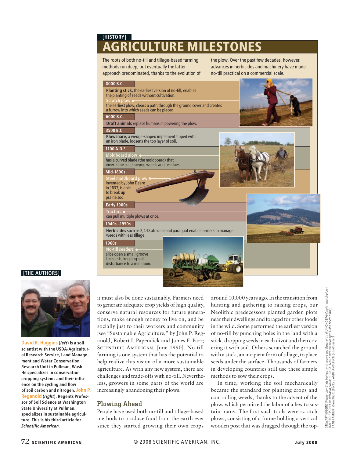# **[history] AGRICULTURE MILE**

The roots of both no-till and tillage-based farming methods run deep, but eventually the latter approach predominated, thanks to the evolution of

the plow. Over the past few decades, however, advances in herbicides and machinery have made no-till practical on a commercial scale.



#### **[THE AUTHORs]**



**David R. Huggins (***left***) is a soil scientist with the USDA-Agricultural Research Service, Land Management and Water Conservation Research Unit in Pullman, Wash. He specializes in conservation cropping systems and their influence on the cycling and flow of soil carbon and nitrogen. John P. Reganold (***right***), Regents Professor of Soil Science at Washington State University at Pullman, specializes in sustainable agriculture. This is his third article for Scientific American.** 

it must also be done sustainably. Farmers need to generate adequate crop yields of high quality, conserve natural resources for future generations, make enough money to live on, and be socially just to their workers and community [see "Sustainable Agriculture," by John P. Reganold, Robert I. Papendick and James F. Parr; SCIENTIFIC AMERICAN, June 1990]. No-till farming is one system that has the potential to help realize this vision of a more sustainable agriculture. As with any new system, there are challenges and trade-offs with no-till. Nevertheless, growers in some parts of the world are increasingly abandoning their plows.

#### Plowing Ahead

People have used both no-till and tillage-based methods to produce food from the earth ever since they started growing their own crops around 10,000 years ago. In the transition from hunting and gathering to raising crops, our Neolithic predecessors planted garden plots near their dwellings and foraged for other foods in the wild. Some performed the earliest version of no-till by punching holes in the land with a stick, dropping seeds in each divot and then covering it with soil. Others scratched the ground with a stick, an incipient form of tillage, to place seeds under the surface. Thousands of farmers in developing countries still use these simple methods to sow their crops.

In time, working the soil mechanically became the standard for planting crops and controlling weeds, thanks to the advent of the plow, which permitted the labor of a few to sustain many. The first such tools were scratch plows, consisting of a frame holding a vertical wooden post that was dragged through the top-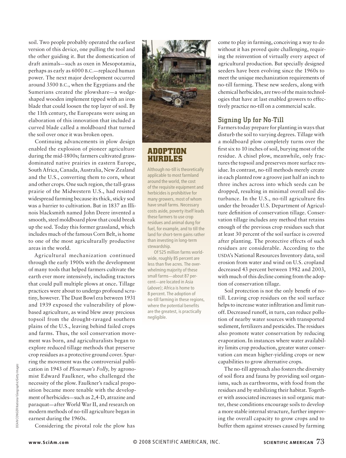soil. Two people probably operated the earliest version of this device, one pulling the tool and the other guiding it. But the domestication of draft animals—such as oxen in Mesopotamia, perhaps as early as 6000 B.C.—replaced human power. The next major development occurred around 3500 B.C., when the Egyptians and the Sumerians created the plowshare—a wedgeshaped wooden implement tipped with an iron blade that could loosen the top layer of soil. By the 11th century, the Europeans were using an elaboration of this innovation that included a curved blade called a moldboard that turned the soil over once it was broken open.

Continuing advancements in plow design enabled the explosion of pioneer agriculture during the mid-1800s; farmers cultivated grassdominated native prairies in eastern Europe, South Africa, Canada, Australia, New Zealand and the U.S., converting them to corn, wheat and other crops. One such region, the tall-grass prairie of the Midwestern U.S., had resisted widespread farming because its thick, sticky sod was a barrier to cultivation. But in 1837 an Illinois blacksmith named John Deere invented a smooth, steel moldboard plow that could break up the sod. Today this former grassland, which includes much of the famous Corn Belt, is home to one of the most agriculturally productive areas in the world.

Agricultural mechanization continued through the early 1900s with the development of many tools that helped farmers cultivate the earth ever more intensively, including tractors that could pull multiple plows at once**.** Tillage practices were about to undergo profound scrutiny, however. The Dust Bowl era between 1931 and 1939 exposed the vulnerability of plowbased agriculture, as wind blew away precious topsoil from the drought-ravaged southern plains of the U.S., leaving behind failed crops and farms. Thus, the soil conservation movement was born, and agriculturalists began to explore reduced tillage methods that preserve crop residues as a protective ground cover. Spurring the movement was the controversial publication in 1943 of *Plowman's Folly,* by agronomist Edward Faulkner, who challenged the necessity of the plow. Faulkner's radical proposition became more tenable with the development of herbicides—such as 2,4-D, atrazine and paraquat—after World War II, and research on modern methods of no-till agriculture began in earnest during the 1960s.



### **ADOPTION HURDLES**

Although no-till is theoretically applicable to most farmland around the world, the cost of the requisite equipment and herbicides is prohibitive for many growers, most of whom have small farms. Necessary costs aside, poverty itself leads these farmers to use crop residues and animal dung for fuel, for example, and to till the land for short-term gains rather than investing in long-term stewardship.

Of 525 million farms worldwide, roughly 85 percent are less than five acres. The overwhelming majority of these small farms—about 87 percent—are located in Asia (*above*); Africa is home to 8 percent. The adoption of no-till farming in these regions, where the potential benefits are the greatest, is practically negligible.

come to play in farming, conceiving a way to do without it has proved quite challenging, requiring the reinvention of virtually every aspect of agricultural production. But specially designed seeders have been evolving since the 1960s to meet the unique mechanization requirements of no-till farming. These new seeders, along with chemical herbicides, are two of the main technologies that have at last enabled growers to effectively practice no-till on a commercial scale.

## Signing Up for No-Till

Farmers today prepare for planting in ways that disturb the soil to varying degrees. Tillage with a moldboard plow completely turns over the first six to 10 inches of soil, burying most of the residue. A chisel plow, meanwhile, only fractures the topsoil and preserves more surface residue. In contrast, no-till methods merely create in each planted row a groove just half an inch to three inches across into which seeds can be dropped, resulting in minimal overall soil disturbance. In the U.S., no-till agriculture fits under the broader U.S. Department of Agriculture definition of conservation tillage. Conservation tillage includes any method that retains enough of the previous crop residues such that at least 30 percent of the soil surface is covered after planting. The protective effects of such residues are considerable. According to the USDA's National Resources Inventory data, soil erosion from water and wind on U.S. cropland decreased 43 percent between 1982 and 2003, with much of this decline coming from the adoption of conservation tillage.

Soil protection is not the only benefit of notill. Leaving crop residues on the soil surface helps to increase water infiltration and limit runoff. Decreased runoff, in turn, can reduce pollution of nearby water sources with transported sediment, fertilizers and pesticides. The residues also promote water conservation by reducing evaporation. In instances where water availability limits crop production, greater water conservation can mean higher-yielding crops or new capabilities to grow alternative crops.

The no-till approach also fosters the diversity of soil flora and fauna by providing soil organisms, such as earthworms, with food from the residues and by stabilizing their habitat. Together with associated increases in soil organic matter, these conditions encourage soils to develop a more stable internal structure, further improving the overall capacity to grow crops and to buffer them against stresses caused by farming

DEAN CONGER National Geographic/Getty Images DEAN CONGER National Geographic/Getty Images

Considering the pivotal role the plow has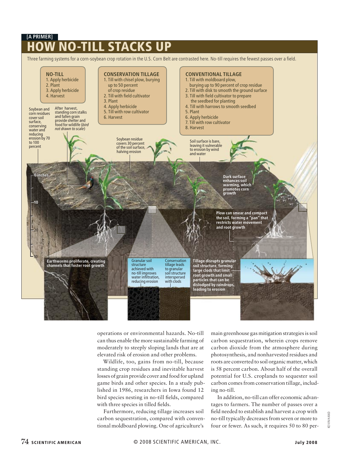# HOW NO-TILL STACKS UP **[A PRIMER]**

Three farming systems for a corn-soybean crop rotation in the U.S. Corn Belt are contrasted here. No-till requires the fewest passes over a field.



operations or environmental hazards. No-till can thus enable the more sustainable farming of moderately to steeply sloping lands that are at elevated risk of erosion and other problems.

Wildlife, too, gains from no-till, because standing crop residues and inevitable harvest losses of grain provide cover and food for upland game birds and other species. In a study published in 1986, researchers in Iowa found 12 bird species nesting in no-till fields, compared with three species in tilled fields.

Furthermore, reducing tillage increases soil carbon sequestration, compared with conventional moldboard plowing. One of agriculture's

main greenhouse gas mitigation strategies is soil carbon sequestration, wherein crops remove carbon dioxide from the atmosphere during photosynthesis, and nonharvested residues and roots are converted to soil organic matter, which is 58 percent carbon. About half of the overall potential for U.S. croplands to sequester soil carbon comes from conservation tillage, including no-till.

In addition, no-till can offer economic advantages to farmers. The number of passes over a field needed to establish and harvest a crop with no-till typically decreases from seven or more to  $\frac{2}{\frac{3}{2}}$ <br>four or fewer. As such, it requires 50 to 80 per-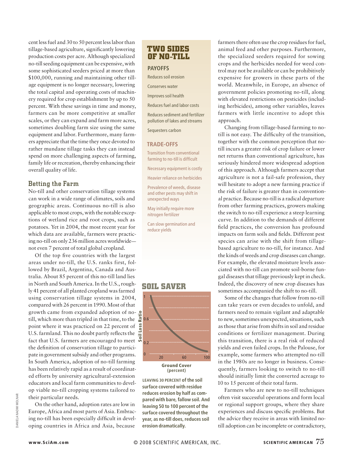cent less fuel and 30 to 50 percent less labor than tillage-based agriculture, significantly lowering production costs per acre. Although specialized no-till seeding equipment can be expensive, with some sophisticated seeders priced at more than \$100,000, running and maintaining other tillage equipment is no longer necessary, lowering the total capital and operating costs of machinery required for crop establishment by up to 50 percent. With these savings in time and money, farmers can be more competitive at smaller scales, or they can expand and farm more acres, sometimes doubling farm size using the same equipment and labor. Furthermore, many farmers appreciate that the time they once devoted to rather mundane tillage tasks they can instead spend on more challenging aspects of farming, family life or recreation, thereby enhancing their overall quality of life.

#### Betting the Farm

No-till and other conservation tillage systems can work in a wide range of climates, soils and geographic areas. Continuous no-till is also applicable to most crops, with the notable exceptions of wetland rice and root crops, such as potatoes. Yet in 2004, the most recent year for which data are available, farmers were practicing no-till on only 236 million acres worldwide not even 7 percent of total global cropland.

Of the top five countries with the largest areas under no-till, the U.S. ranks first, followed by Brazil, Argentina, Canada and Australia. About 85 percent of this no-till land lies in North and South America. In the U.S., roughly 41 percent of all planted cropland was farmed using conservation tillage systems in 2004, compared with 26 percent in 1990. Most of that growth came from expanded adoption of notill, which more than tripled in that time, to the  $\frac{1}{6}$  0.6 point where it was practiced on 22 percent of U.S. farmland. This no doubt partly reflects the fact that U.S. farmers are encouraged to meet the definition of conservation tillage to participate in government subsidy and other programs. In South America, adoption of no-till farming has been relatively rapid as a result of coordinated efforts by university agricultural-extension educators and local farm communities to develop viable no-till cropping systems tailored to their particular needs.

On the other hand, adoption rates are low in Europe, Africa and most parts of Asia. Embracing no-till has been especially difficult in developing countries in Africa and Asia, because

#### **TWO SIDES OF NO-TILL**

#### **Payoffs**

Reduces soil erosion

Conserves water

Improves soil health

Reduces fuel and labor costs

Reduces sediment and fertilizer pollution of lakes and streams

Sequesters carbon

#### **Trade-offs**

Transition from conventional farming to no-till is difficult

Necessary equipment is costly

Heavier reliance on herbicides

Prevalence of weeds, disease and other pests may shift in unexpected ways

May initially require more nitrogen fertilizer

Can slow germination and reduce yields

#### **Soil saver**



**(percent)**

**Leaving 30 percent of the soil surface covered with residue reduces erosion by half as compared with bare, fallow soil. And leaving 50 to 100 percent of the surface covered throughout the year, as no-till does, reduces soil erosion dramatically.**

farmers there often use the crop residues for fuel, animal feed and other purposes. Furthermore, the specialized seeders required for sowing crops and the herbicides needed for weed control may not be available or can be prohibitively expensive for growers in these parts of the world. Meanwhile, in Europe, an absence of government policies promoting no-till, along with elevated restrictions on pesticides (including herbicides), among other variables, leaves farmers with little incentive to adopt this approach.

Changing from tillage-based farming to notill is not easy. The difficulty of the transition, together with the common perception that notill incurs a greater risk of crop failure or lower net returns than conventional agriculture, has seriously hindered more widespread adoption of this approach. Although farmers accept that agriculture is not a fail-safe profession, they will hesitate to adopt a new farming practice if the risk of failure is greater than in conventional practice. Because no-till is a radical departure from other farming practices, growers making the switch to no-till experience a steep learning curve. In addition to the demands of different field practices, the conversion has profound impacts on farm soils and fields. Different pest species can arise with the shift from tillagebased agriculture to no-till, for instance. And the kinds of weeds and crop diseases can change. For example, the elevated moisture levels associated with no-till can promote soil-borne fungal diseases that tillage previously kept in check. Indeed, the discovery of new crop diseases has sometimes accompanied the shift to no-till.

Some of the changes that follow from no-till can take years or even decades to unfold, and farmers need to remain vigilant and adaptable to new, sometimes unexpected, situations, such as those that arise from shifts in soil and residue conditions or fertilizer management. During this transition, there is a real risk of reduced yields and even failed crops. In the Palouse, for example, some farmers who attempted no-till in the 1980s are no longer in business. Consequently, farmers looking to switch to no-till should initially limit the converted acreage to 10 to 15 percent of their total farm.

Farmers who are new to no-till techniques often visit successful operations and form local or regional support groups, where they share experiences and discuss specific problems. But the advice they receive in areas with limited notill adoption can be incomplete or contradictory,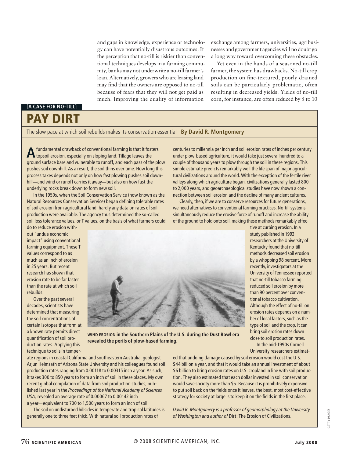and gaps in knowledge, experience or technology can have potentially disastrous outcomes. If the perception that no-till is riskier than conventional techniques develops in a farming community, banks may not underwrite a no-till farmer's loan. Alternatively, growers who are leasing land may find that the owners are opposed to no-till because of fears that they will not get paid as much. Improving the quality of information

exchange among farmers, universities, agribusinesses and government agencies will no doubt go a long way toward overcoming these obstacles.

Yet even in the hands of a seasoned no-till farmer, the system has drawbacks. No-till crop production on fine-textured, poorly drained soils can be particularly problematic, often resulting in decreased yields. Yields of no-till corn, for instance, are often reduced by 5 to 10

centuries to millennia per inch and soil erosion rates of inches per century under plow-based agriculture, it would take just several hundred to a couple of thousand years to plow through the soil in these regions. This simple estimate predicts remarkably well the life span of major agricultural civilizations around the world. With the exception of the fertile river valleys along which agriculture began, civilizations generally lasted 800 to 2,000 years, and geoarchaeological studies have now shown a connection between soil erosion and the decline of many ancient cultures. Clearly, then, if we are to conserve resources for future generations, we need alternatives to conventional farming practices. No-till systems simultaneously reduce the erosive force of runoff and increase the ability of the ground to hold onto soil, making these methods remarkably effec-

#### The slow pace at which soil rebuilds makes its conservation essential **By David R. Montgomery**

A fundamental drawback of conventional farming is that it fosters<br>topsoil erosion, especially on sloping land. Tillage leaves the ground surface bare and vulnerable to runoff, and each pass of the plow pushes soil downhill. As a result, the soil thins over time. How long this process takes depends not only on how fast plowing pushes soil downhill—and wind or runoff carries it away—but also on how fast the underlying rocks break down to form new soil.

In the 1950s, when the Soil Conservation Service (now known as the Natural Resources Conservation Service) began defining tolerable rates of soil erosion from agricultural land, hardly any data on rates of soil production were available. The agency thus determined the so-called soil loss tolerance values, or T values, on the basis of what farmers could

do to reduce erosion without "undue economic impact" using conventional farming equipment. These T values correspond to as much as an inch of erosion in 25 years. But recent research has shown that erosion rate to be far faster than the rate at which soil rebuilds.

PAY DIRT

**[A CASE FOR NO-TILL]**

Over the past several decades, scientists have determined that measuring the soil concentrations of certain isotopes that form at a known rate permits direct quantification of soil production rates. Applying this technique to soils in temper-



**WIND EROSION in the Southern Plains of the U.S. during the Dust Bowl era revealed the perils of plow-based farming.** 

ate regions in coastal California and southeastern Australia, geologist Arjun Heimsath of Arizona State University and his colleagues found soil production rates ranging from 0.00118 to 0.00315 inch a year. As such, it takes 300 to 850 years to form an inch of soil in these places. My own recent global compilation of data from soil production studies, published last year in the *Proceedings of the National Academy of Sciences USA,* revealed an average rate of 0.00067 to 0.00142 inch

a year—equivalent to 700 to 1,500 years to form an inch of soil. The soil on undisturbed hillsides in temperate and tropical latitudes is generally one to three feet thick. With natural soil production rates of

ed that undoing damage caused by soil erosion would cost the U.S. \$44 billion a year, and that it would take an annual investment of about \$6 billion to bring erosion rates on U.S. cropland in line with soil production. They also estimated that each dollar invested in soil conservation would save society more than \$5. Because it is prohibitively expensive to put soil back on the fields once it leaves, the best, most cost-effective strategy for society at large is to keep it on the fields in the first place.

*David R. Montgomery is a professor of geomorphology at the University of Washington and author of* Dirt: The Erosion of Civilizations.

tive at curbing erosion. In a study published in 1993, researchers at the University of Kentucky found that no-till methods decreased soil erosion by a whopping 98 percent. More recently, investigators at the University of Tennessee reported that no-till tobacco farming reduced soil erosion by more than 90 percent over conventional tobacco cultivation. Although the effect of no-till on erosion rates depends on a number of local factors, such as the type of soil and the crop, it can bring soil erosion rates down close to soil production rates.

In the mid-1990s Cornell University researchers estimat-

> **GETTY IMAGES** GETTY IMAGES